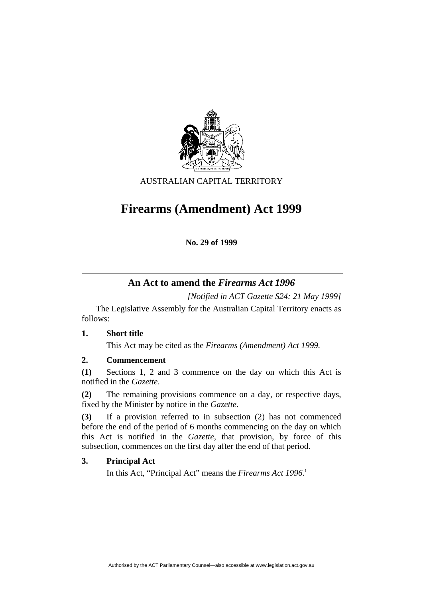

AUSTRALIAN CAPITAL TERRITORY

# **Firearms (Amendment) Act 1999**

**No. 29 of 1999** 

# **An Act to amend the** *Firearms Act 1996*

*[Notified in ACT Gazette S24: 21 May 1999]* 

 The Legislative Assembly for the Australian Capital Territory enacts as follows:

# **1. Short title**

This Act may be cited as the *Firearms (Amendment) Act 1999.*

# **2. Commencement**

**(1)** Sections 1, 2 and 3 commence on the day on which this Act is notified in the *Gazette*.

**(2)** The remaining provisions commence on a day, or respective days, fixed by the Minister by notice in the *Gazette*.

**(3)** If a provision referred to in subsection (2) has not commenced before the end of the period of 6 months commencing on the day on which this Act is notified in the *Gazette*, that provision, by force of this subsection, commences on the first day after the end of that period.

# **3. Principal Act**

In this Act, "Principal Act" means the *Firearms Act 1996*. 1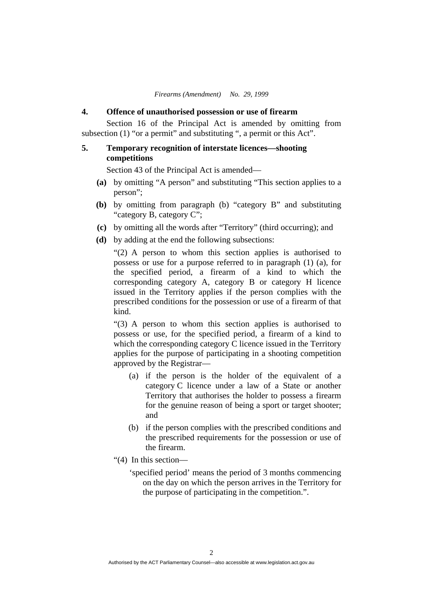#### **4. Offence of unauthorised possession or use of firearm**

 Section 16 of the Principal Act is amended by omitting from subsection (1) "or a permit" and substituting ", a permit or this Act".

## **5. Temporary recognition of interstate licences—shooting competitions**

Section 43 of the Principal Act is amended—

- **(a)** by omitting "A person" and substituting "This section applies to a person";
- **(b)** by omitting from paragraph (b) "category B" and substituting "category B, category C";
- **(c)** by omitting all the words after "Territory" (third occurring); and
- **(d)** by adding at the end the following subsections:

"(2) A person to whom this section applies is authorised to possess or use for a purpose referred to in paragraph (1) (a), for the specified period, a firearm of a kind to which the corresponding category A, category B or category H licence issued in the Territory applies if the person complies with the prescribed conditions for the possession or use of a firearm of that kind.

"(3) A person to whom this section applies is authorised to possess or use, for the specified period, a firearm of a kind to which the corresponding category C licence issued in the Territory applies for the purpose of participating in a shooting competition approved by the Registrar—

- (a) if the person is the holder of the equivalent of a category C licence under a law of a State or another Territory that authorises the holder to possess a firearm for the genuine reason of being a sport or target shooter; and
- (b) if the person complies with the prescribed conditions and the prescribed requirements for the possession or use of the firearm.
- "(4) In this section—
	- 'specified period' means the period of 3 months commencing on the day on which the person arrives in the Territory for the purpose of participating in the competition.".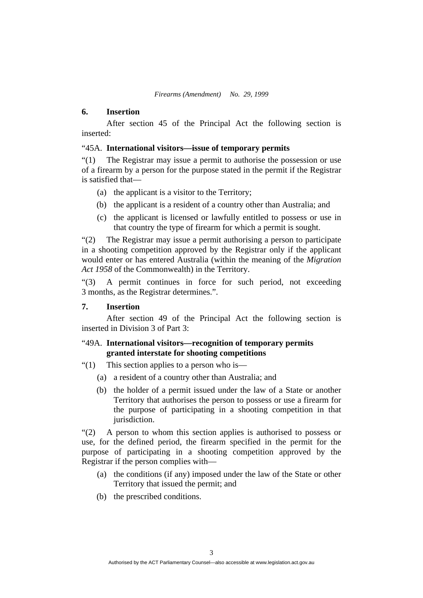#### **6. Insertion**

 After section 45 of the Principal Act the following section is inserted:

#### "45A. **International visitors—issue of temporary permits**

"(1) The Registrar may issue a permit to authorise the possession or use of a firearm by a person for the purpose stated in the permit if the Registrar is satisfied that—

- (a) the applicant is a visitor to the Territory;
- (b) the applicant is a resident of a country other than Australia; and
- (c) the applicant is licensed or lawfully entitled to possess or use in that country the type of firearm for which a permit is sought.

"(2) The Registrar may issue a permit authorising a person to participate in a shooting competition approved by the Registrar only if the applicant would enter or has entered Australia (within the meaning of the *Migration Act 1958* of the Commonwealth) in the Territory.

"(3) A permit continues in force for such period, not exceeding 3 months, as the Registrar determines.".

## **7. Insertion**

 After section 49 of the Principal Act the following section is inserted in Division 3 of Part 3:

## "49A. **International visitors—recognition of temporary permits granted interstate for shooting competitions**

- "(1) This section applies to a person who is—
	- (a) a resident of a country other than Australia; and
	- (b) the holder of a permit issued under the law of a State or another Territory that authorises the person to possess or use a firearm for the purpose of participating in a shooting competition in that jurisdiction.

"(2) A person to whom this section applies is authorised to possess or use, for the defined period, the firearm specified in the permit for the purpose of participating in a shooting competition approved by the Registrar if the person complies with—

- (a) the conditions (if any) imposed under the law of the State or other Territory that issued the permit; and
- (b) the prescribed conditions.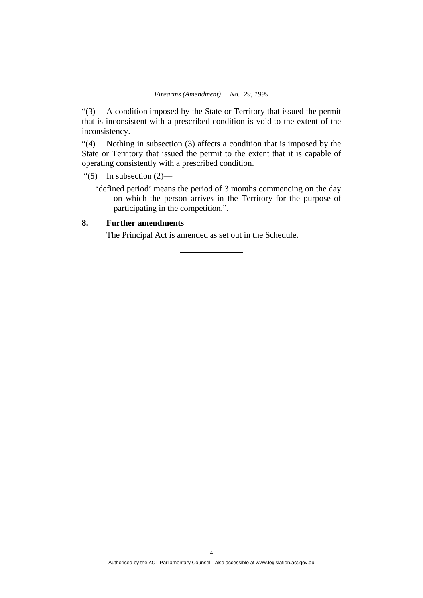"(3) A condition imposed by the State or Territory that issued the permit that is inconsistent with a prescribed condition is void to the extent of the inconsistency.

"(4) Nothing in subsection (3) affects a condition that is imposed by the State or Territory that issued the permit to the extent that it is capable of operating consistently with a prescribed condition.

- "(5) In subsection  $(2)$ 
	- 'defined period' means the period of 3 months commencing on the day on which the person arrives in the Territory for the purpose of participating in the competition.".

## **8. Further amendments**

The Principal Act is amended as set out in the Schedule.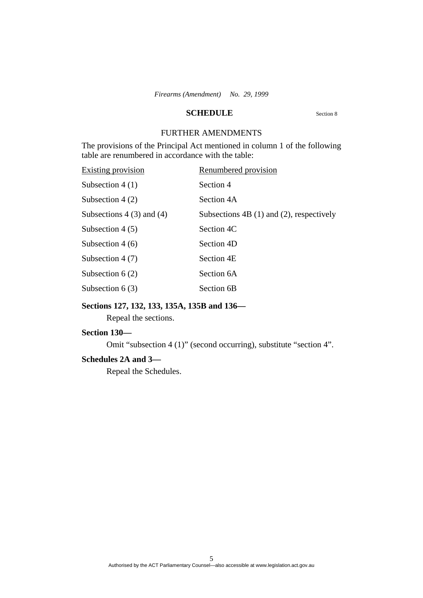## **SCHEDULE** Section 8

# FURTHER AMENDMENTS

The provisions of the Principal Act mentioned in column 1 of the following table are renumbered in accordance with the table:

| <b>Existing provision</b>    | Renumbered provision                         |
|------------------------------|----------------------------------------------|
| Subsection $4(1)$            | Section 4                                    |
| Subsection $4(2)$            | Section 4A                                   |
| Subsections $4(3)$ and $(4)$ | Subsections $4B(1)$ and $(2)$ , respectively |
| Subsection $4(5)$            | Section 4C                                   |
| Subsection $4(6)$            | Section 4D                                   |
| Subsection $4(7)$            | Section 4E                                   |
| Subsection $6(2)$            | Section 6A                                   |
| Subsection $6(3)$            | Section 6B                                   |

## **Sections 127, 132, 133, 135A, 135B and 136—**

Repeal the sections.

## **Section 130—**

Omit "subsection 4 (1)" (second occurring), substitute "section 4".

#### **Schedules 2A and 3—**

Repeal the Schedules.